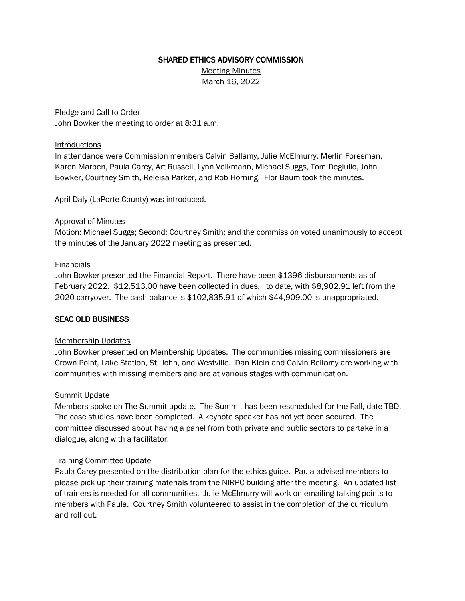### SHARED ETHICS ADVISORY COMMISSION

Meeting Minutes March 16, 2022

Pledge and Call to Order John Bowker the meeting to order at 8:31 a.m.

### **Introductions**

In attendance were Commission members Calvin Bellamy, Julie McElmurry, Merlin Foresman, Karen Marben, Paula Carey, Art Russell, Lynn Volkmann, Michael Suggs, Tom Degiulio, John Bowker, Courtney Smith, Releisa Parker, and Rob Horning. Flor Baum took the minutes.

April Daly (LaPorte County) was introduced.

# Approval of Minutes

Motion: Michael Suggs; Second: Courtney Smith; and the commission voted unanimously to accept the minutes of the January 2022 meeting as presented.

# **Financials**

John Bowker presented the Financial Report. There have been \$1396 disbursements as of February 2022. \$12,513.00 have been collected in dues. to date, with \$8,902.91 left from the 2020 carryover. The cash balance is \$102,835.91 of which \$44,909.00 is unappropriated.

# SEAC OLD BUSINESS

#### Membership Updates

John Bowker presented on Membership Updates. The communities missing commissioners are Crown Point, Lake Station, St. John, and Westville. Dan Klein and Calvin Bellamy are working with communities with missing members and are at various stages with communication.

#### Summit Update

Members spoke on The Summit update. The Summit has been rescheduled for the Fall, date TBD. The case studies have been completed. A keynote speaker has not yet been secured. The committee discussed about having a panel from both private and public sectors to partake in a dialogue, along with a facilitator.

#### Training Committee Update

Paula Carey presented on the distribution plan for the ethics guide. Paula advised members to please pick up their training materials from the NIRPC building after the meeting. An updated list of trainers is needed for all communities. Julie McElmurry will work on emailing talking points to members with Paula. Courtney Smith volunteered to assist in the completion of the curriculum and roll out.